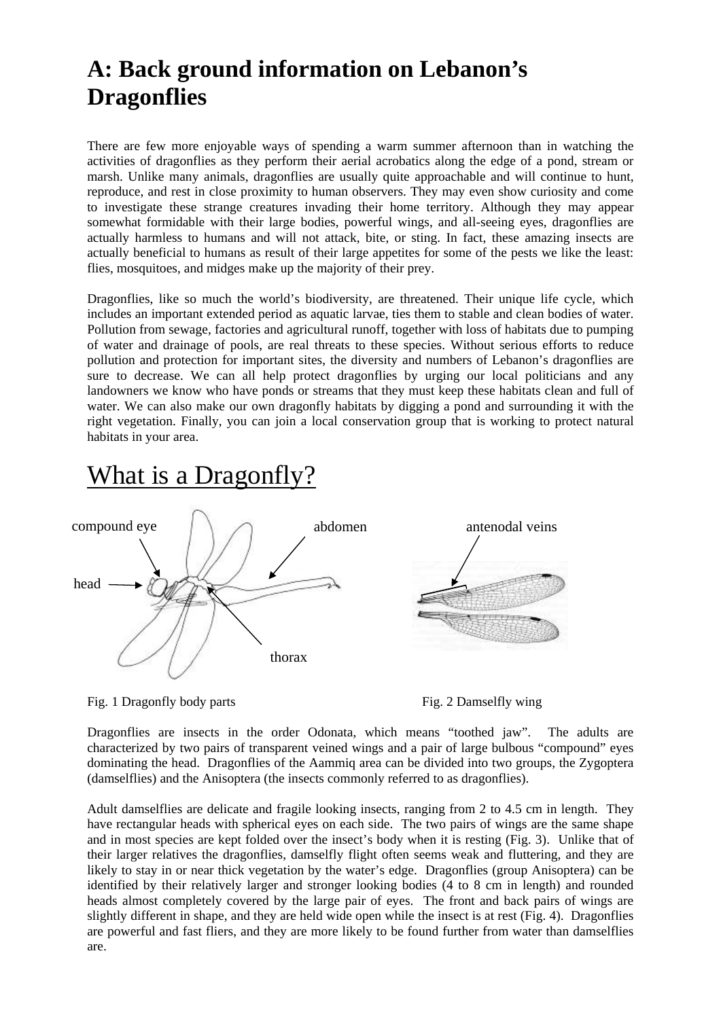## **A: Back ground information on Lebanon's Dragonflies**

There are few more enjoyable ways of spending a warm summer afternoon than in watching the activities of dragonflies as they perform their aerial acrobatics along the edge of a pond, stream or marsh. Unlike many animals, dragonflies are usually quite approachable and will continue to hunt, reproduce, and rest in close proximity to human observers. They may even show curiosity and come to investigate these strange creatures invading their home territory. Although they may appear somewhat formidable with their large bodies, powerful wings, and all-seeing eyes, dragonflies are actually harmless to humans and will not attack, bite, or sting. In fact, these amazing insects are actually beneficial to humans as result of their large appetites for some of the pests we like the least: flies, mosquitoes, and midges make up the majority of their prey.

Dragonflies, like so much the world's biodiversity, are threatened. Their unique life cycle, which includes an important extended period as aquatic larvae, ties them to stable and clean bodies of water. Pollution from sewage, factories and agricultural runoff, together with loss of habitats due to pumping of water and drainage of pools, are real threats to these species. Without serious efforts to reduce pollution and protection for important sites, the diversity and numbers of Lebanon's dragonflies are sure to decrease. We can all help protect dragonflies by urging our local politicians and any landowners we know who have ponds or streams that they must keep these habitats clean and full of water. We can also make our own dragonfly habitats by digging a pond and surrounding it with the right vegetation. Finally, you can join a local conservation group that is working to protect natural habitats in your area.

## What is a Dragonfly?



Fig. 1 Dragonfly body parts Fig. 2 Damselfly wing

Dragonflies are insects in the order Odonata, which means "toothed jaw". The adults are characterized by two pairs of transparent veined wings and a pair of large bulbous "compound" eyes dominating the head. Dragonflies of the Aammiq area can be divided into two groups, the Zygoptera (damselflies) and the Anisoptera (the insects commonly referred to as dragonflies).

Adult damselflies are delicate and fragile looking insects, ranging from 2 to 4.5 cm in length. They have rectangular heads with spherical eyes on each side. The two pairs of wings are the same shape and in most species are kept folded over the insect's body when it is resting (Fig. 3). Unlike that of their larger relatives the dragonflies, damselfly flight often seems weak and fluttering, and they are likely to stay in or near thick vegetation by the water's edge. Dragonflies (group Anisoptera) can be identified by their relatively larger and stronger looking bodies (4 to 8 cm in length) and rounded heads almost completely covered by the large pair of eyes. The front and back pairs of wings are slightly different in shape, and they are held wide open while the insect is at rest (Fig. 4). Dragonflies are powerful and fast fliers, and they are more likely to be found further from water than damselflies are.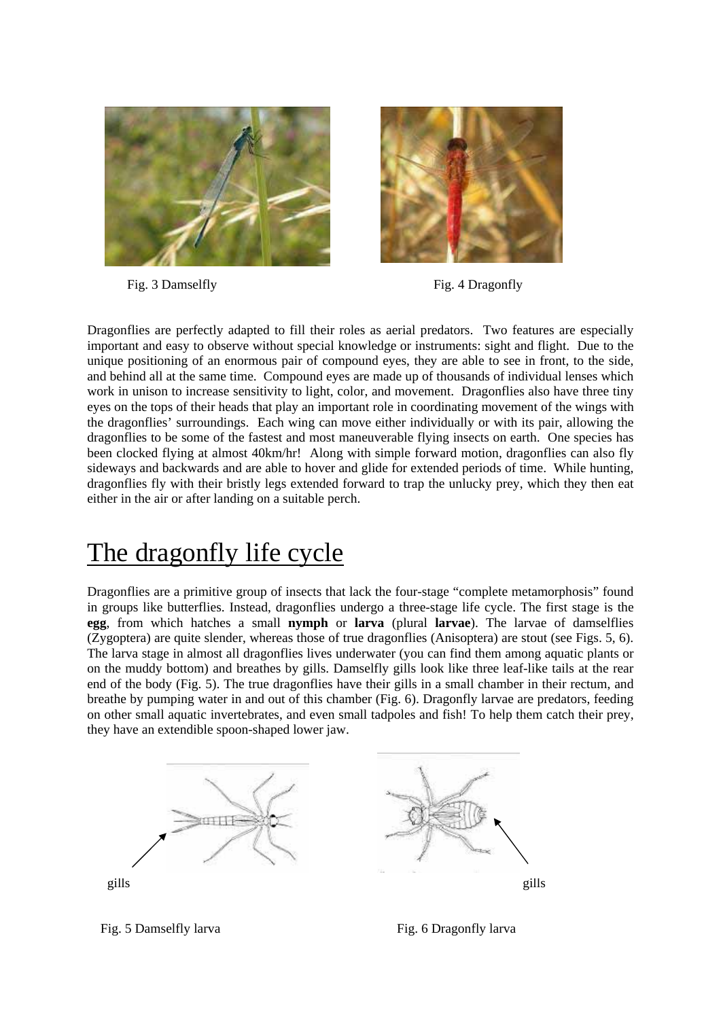

Fig. 3 Damselfly Fig. 4 Dragonfly



Dragonflies are perfectly adapted to fill their roles as aerial predators. Two features are especially important and easy to observe without special knowledge or instruments: sight and flight. Due to the unique positioning of an enormous pair of compound eyes, they are able to see in front, to the side, and behind all at the same time. Compound eyes are made up of thousands of individual lenses which work in unison to increase sensitivity to light, color, and movement. Dragonflies also have three tiny eyes on the tops of their heads that play an important role in coordinating movement of the wings with the dragonflies' surroundings. Each wing can move either individually or with its pair, allowing the dragonflies to be some of the fastest and most maneuverable flying insects on earth. One species has been clocked flying at almost 40km/hr! Along with simple forward motion, dragonflies can also fly sideways and backwards and are able to hover and glide for extended periods of time. While hunting, dragonflies fly with their bristly legs extended forward to trap the unlucky prey, which they then eat either in the air or after landing on a suitable perch.

# The dragonfly life cycle

Dragonflies are a primitive group of insects that lack the four-stage "complete metamorphosis" found in groups like butterflies. Instead, dragonflies undergo a three-stage life cycle. The first stage is the **egg**, from which hatches a small **nymph** or **larva** (plural **larvae**). The larvae of damselflies (Zygoptera) are quite slender, whereas those of true dragonflies (Anisoptera) are stout (see Figs. 5, 6). The larva stage in almost all dragonflies lives underwater (you can find them among aquatic plants or on the muddy bottom) and breathes by gills. Damselfly gills look like three leaf-like tails at the rear end of the body (Fig. 5). The true dragonflies have their gills in a small chamber in their rectum, and breathe by pumping water in and out of this chamber (Fig. 6). Dragonfly larvae are predators, feeding on other small aquatic invertebrates, and even small tadpoles and fish! To help them catch their prey, they have an extendible spoon-shaped lower jaw.

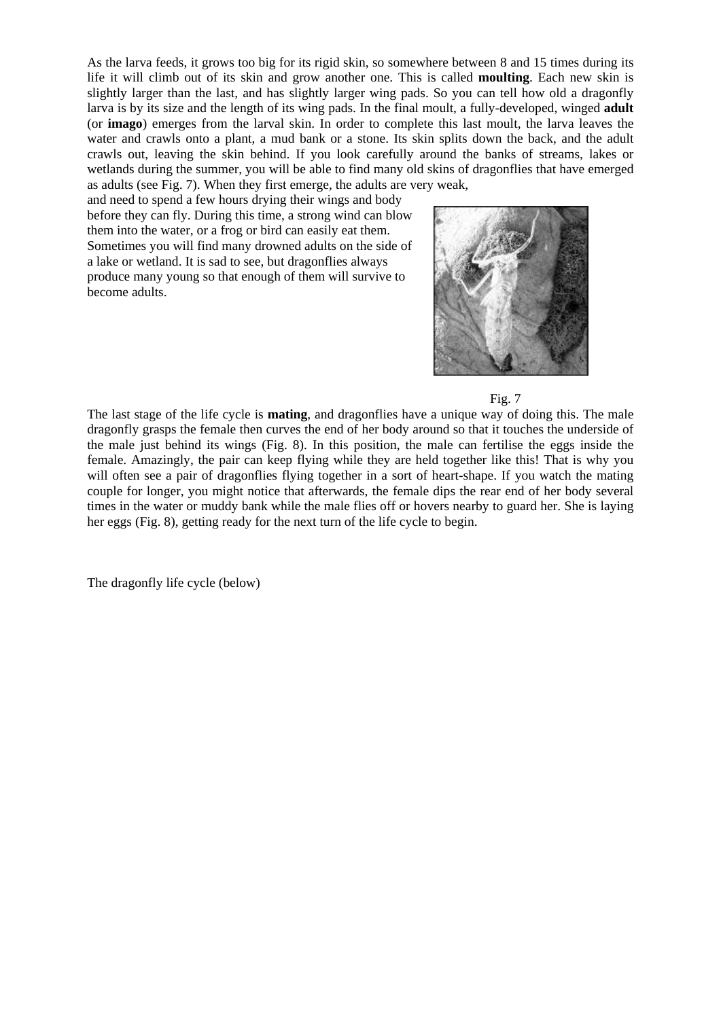As the larva feeds, it grows too big for its rigid skin, so somewhere between 8 and 15 times during its life it will climb out of its skin and grow another one. This is called **moulting**. Each new skin is slightly larger than the last, and has slightly larger wing pads. So you can tell how old a dragonfly larva is by its size and the length of its wing pads. In the final moult, a fully-developed, winged **adult** (or **imago**) emerges from the larval skin. In order to complete this last moult, the larva leaves the water and crawls onto a plant, a mud bank or a stone. Its skin splits down the back, and the adult crawls out, leaving the skin behind. If you look carefully around the banks of streams, lakes or wetlands during the summer, you will be able to find many old skins of dragonflies that have emerged as adults (see Fig. 7). When they first emerge, the adults are very weak,

and need to spend a few hours drying their wings and body before they can fly. During this time, a strong wind can blow them into the water, or a frog or bird can easily eat them. Sometimes you will find many drowned adults on the side of a lake or wetland. It is sad to see, but dragonflies always produce many young so that enough of them will survive to become adults.





The last stage of the life cycle is **mating**, and dragonflies have a unique way of doing this. The male dragonfly grasps the female then curves the end of her body around so that it touches the underside of the male just behind its wings (Fig. 8). In this position, the male can fertilise the eggs inside the female. Amazingly, the pair can keep flying while they are held together like this! That is why you will often see a pair of dragonflies flying together in a sort of heart-shape. If you watch the mating couple for longer, you might notice that afterwards, the female dips the rear end of her body several times in the water or muddy bank while the male flies off or hovers nearby to guard her. She is laying her eggs (Fig. 8), getting ready for the next turn of the life cycle to begin.

The dragonfly life cycle (below)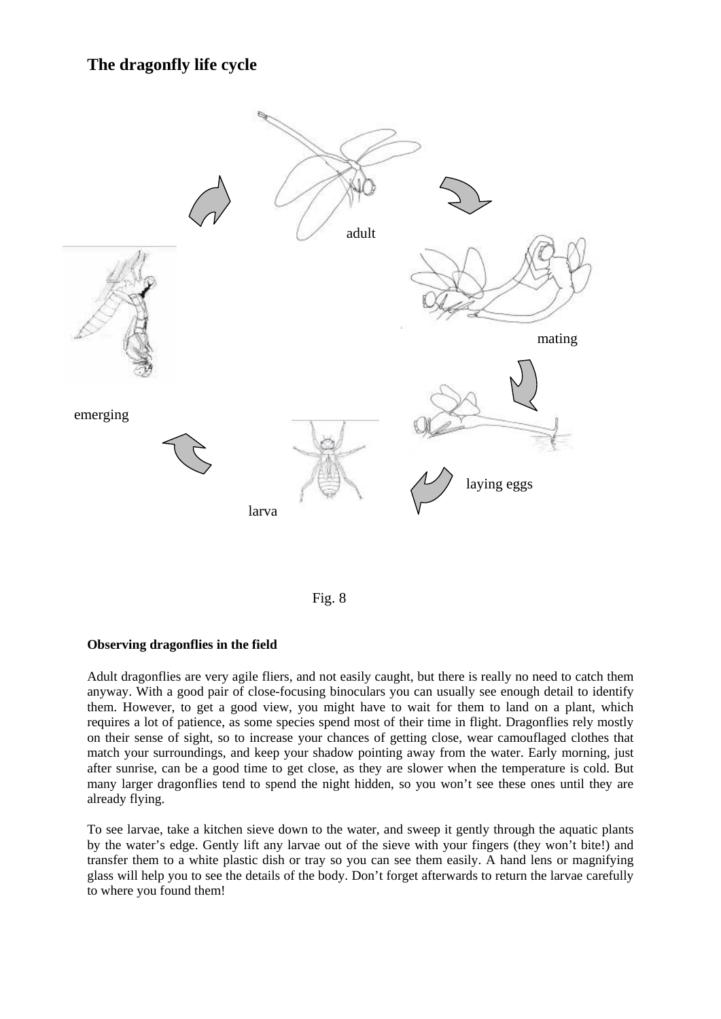## **The dragonfly life cycle**



Fig. 8

#### **Observing dragonflies in the field**

Adult dragonflies are very agile fliers, and not easily caught, but there is really no need to catch them anyway. With a good pair of close-focusing binoculars you can usually see enough detail to identify them. However, to get a good view, you might have to wait for them to land on a plant, which requires a lot of patience, as some species spend most of their time in flight. Dragonflies rely mostly on their sense of sight, so to increase your chances of getting close, wear camouflaged clothes that match your surroundings, and keep your shadow pointing away from the water. Early morning, just after sunrise, can be a good time to get close, as they are slower when the temperature is cold. But many larger dragonflies tend to spend the night hidden, so you won't see these ones until they are already flying.

To see larvae, take a kitchen sieve down to the water, and sweep it gently through the aquatic plants by the water's edge. Gently lift any larvae out of the sieve with your fingers (they won't bite!) and transfer them to a white plastic dish or tray so you can see them easily. A hand lens or magnifying glass will help you to see the details of the body. Don't forget afterwards to return the larvae carefully to where you found them!